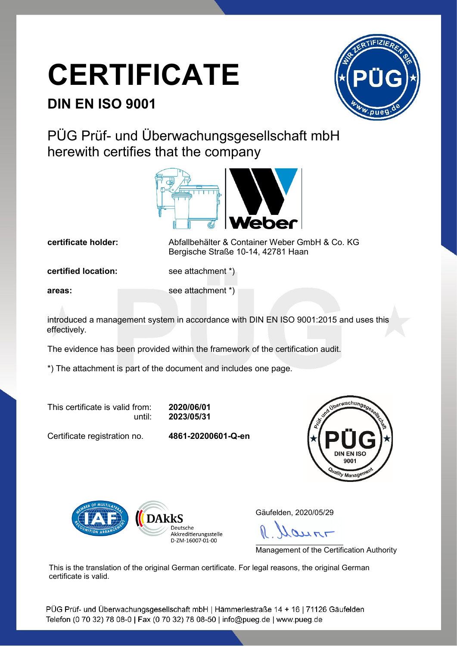## **CERTIFICATE**

## **DIN EN ISO 9001**



PÜG Prüf- und Überwachungsgesellschaft mbH herewith certifies that the company



**certificate holder:** Abfallbehälter & Container Weber GmbH & Co. KG Bergische Straße 10-14, 42781 Haan

**certified location:** see attachment \*)

**areas:** see attachment \*)

introduced a management system in accordance with DIN EN ISO 9001:2015 and uses this effectively.

The evidence has been provided within the framework of the certification audit.

\*) The attachment is part of the document and includes one page.

This certificate is valid from: **2020/06/01**

until: **2023/05/31**

Certificate registration no. **4861-20200601-Q-en**





Gäufelden, 2020/05/29

 $250$ 

Management of the Certification Authority

This is the translation of the original German certificate. For legal reasons, the original German certificate is valid.

PÜG Prüf- und Überwachungsgesellschaft mbH | Hämmerlestraße 14 + 16 | 71126 Gäufelden Telefon (0 70 32) 78 08-0 | Fax (0 70 32) 78 08-50 | info@pueg.de | www.pueg.de